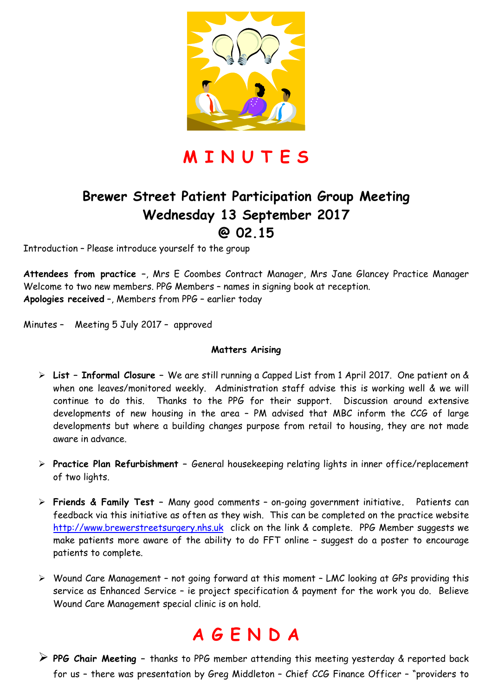

**M I N U T E S** 

### **Brewer Street Patient Participation Group Meeting Wednesday 13 September 2017 @ 02.15**

Introduction – Please introduce yourself to the group

**Attendees from practice –**, Mrs E Coombes Contract Manager, Mrs Jane Glancey Practice Manager Welcome to two new members. PPG Members – names in signing book at reception. **Apologies received** –, Members from PPG – earlier today

Minutes – Meeting 5 July 2017 – approved

#### **Matters Arising**

- **List Informal Closure** We are still running a Capped List from 1 April 2017. One patient on & when one leaves/monitored weekly. Administration staff advise this is working well & we will continue to do this. Thanks to the PPG for their support. Discussion around extensive developments of new housing in the area – PM advised that MBC inform the CCG of large developments but where a building changes purpose from retail to housing, they are not made aware in advance.
- **Practice Plan Refurbishment** General housekeeping relating lights in inner office/replacement of two lights.
- **Friends & Family Test** Many good comments on-going government initiative**.** Patients can feedback via this initiative as often as they wish. This can be completed on the practice website http://www.brewerstreetsurgery.nhs.uk click on the link & complete. PPG Member suggests we make patients more aware of the ability to do FFT online – suggest do a poster to encourage patients to complete.
- Wound Care Management not going forward at this moment LMC looking at GPs providing this service as Enhanced Service – ie project specification & payment for the work you do. Believe Wound Care Management special clinic is on hold.

## **A G E N D A**

 **PPG Chair Meeting –** thanks to PPG member attending this meeting yesterday & reported back for us – there was presentation by Greg Middleton – Chief CCG Finance Officer – "providers to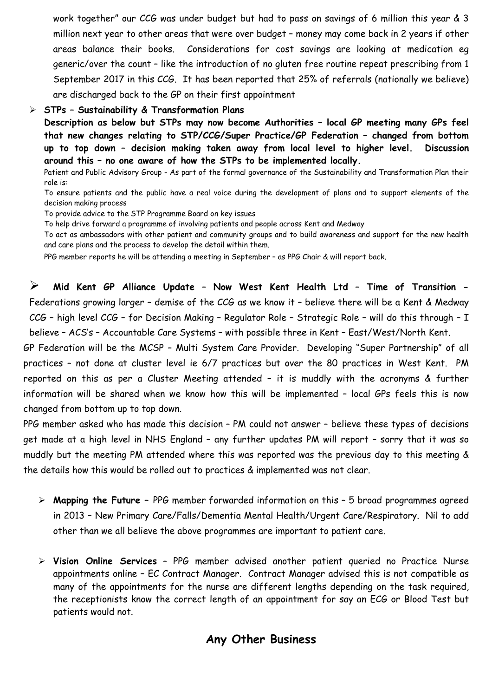work together" our CCG was under budget but had to pass on savings of 6 million this year & 3 million next year to other areas that were over budget – money may come back in 2 years if other areas balance their books. Considerations for cost savings are looking at medication eg generic/over the count – like the introduction of no gluten free routine repeat prescribing from 1 September 2017 in this CCG. It has been reported that 25% of referrals (nationally we believe) are discharged back to the GP on their first appointment

#### **STPs – Sustainability & Transformation Plans**

**Description as below but STPs may now become Authorities – local GP meeting many GPs feel that new changes relating to STP/CCG/Super Practice/GP Federation – changed from bottom up to top down – decision making taken away from local level to higher level. Discussion around this – no one aware of how the STPs to be implemented locally.** 

Patient and Public Advisory Group - As part of the formal governance of the Sustainability and Transformation Plan their role is:

To ensure patients and the public have a real voice during the development of plans and to support elements of the decision making process

To provide advice to the STP Programme Board on key issues

To help drive forward a programme of involving patients and people across Kent and Medway

To act as ambassadors with other patient and community groups and to build awareness and support for the new health and care plans and the process to develop the detail within them.

PPG member reports he will be attending a meeting in September – as PPG Chair & will report back.

 **Mid Kent GP Alliance Update – Now West Kent Health Ltd – Time of Transition -**  Federations growing larger – demise of the CCG as we know it – believe there will be a Kent & Medway CCG – high level CCG – for Decision Making – Regulator Role – Strategic Role – will do this through – I believe – ACS's – Accountable Care Systems – with possible three in Kent – East/West/North Kent.

GP Federation will be the MCSP – Multi System Care Provider. Developing "Super Partnership" of all practices – not done at cluster level ie 6/7 practices but over the 80 practices in West Kent. PM reported on this as per a Cluster Meeting attended – it is muddly with the acronyms & further information will be shared when we know how this will be implemented – local GPs feels this is now changed from bottom up to top down.

PPG member asked who has made this decision – PM could not answer – believe these types of decisions get made at a high level in NHS England – any further updates PM will report – sorry that it was so muddly but the meeting PM attended where this was reported was the previous day to this meeting & the details how this would be rolled out to practices & implemented was not clear.

- **Mapping the Future** PPG member forwarded information on this 5 broad programmes agreed in 2013 – New Primary Care/Falls/Dementia Mental Health/Urgent Care/Respiratory. Nil to add other than we all believe the above programmes are important to patient care.
- **Vision Online Services** PPG member advised another patient queried no Practice Nurse appointments online – EC Contract Manager. Contract Manager advised this is not compatible as many of the appointments for the nurse are different lengths depending on the task required, the receptionists know the correct length of an appointment for say an ECG or Blood Test but patients would not.

#### **Any Other Business**